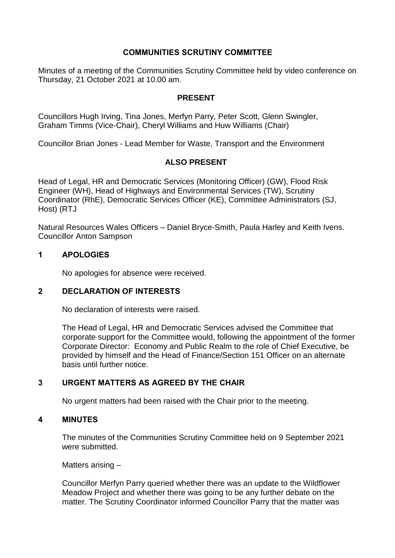# **COMMUNITIES SCRUTINY COMMITTEE**

Minutes of a meeting of the Communities Scrutiny Committee held by video conference on Thursday, 21 October 2021 at 10.00 am.

## **PRESENT**

Councillors Hugh Irving, Tina Jones, Merfyn Parry, Peter Scott, Glenn Swingler, Graham Timms (Vice-Chair), Cheryl Williams and Huw Williams (Chair)

Councillor Brian Jones - Lead Member for Waste, Transport and the Environment

## **ALSO PRESENT**

Head of Legal, HR and Democratic Services (Monitoring Officer) (GW), Flood Risk Engineer (WH), Head of Highways and Environmental Services (TW), Scrutiny Coordinator (RhE), Democratic Services Officer (KE), Committee Administrators (SJ, Host) (RTJ

Natural Resources Wales Officers – Daniel Bryce-Smith, Paula Harley and Keith Ivens. Councillor Anton Sampson

#### **1 APOLOGIES**

No apologies for absence were received.

## **2 DECLARATION OF INTERESTS**

No declaration of interests were raised.

The Head of Legal, HR and Democratic Services advised the Committee that corporate support for the Committee would, following the appointment of the former Corporate Director: Economy and Public Realm to the role of Chief Executive, be provided by himself and the Head of Finance/Section 151 Officer on an alternate basis until further notice.

## **3 URGENT MATTERS AS AGREED BY THE CHAIR**

No urgent matters had been raised with the Chair prior to the meeting.

#### **4 MINUTES**

The minutes of the Communities Scrutiny Committee held on 9 September 2021 were submitted.

Matters arising –

Councillor Merfyn Parry queried whether there was an update to the Wildflower Meadow Project and whether there was going to be any further debate on the matter. The Scrutiny Coordinator informed Councillor Parry that the matter was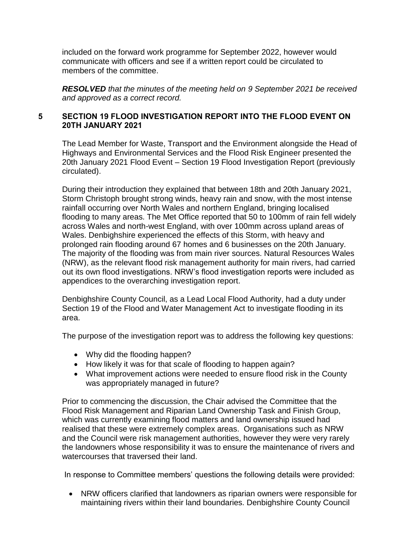included on the forward work programme for September 2022, however would communicate with officers and see if a written report could be circulated to members of the committee.

*RESOLVED that the minutes of the meeting held on 9 September 2021 be received and approved as a correct record.*

## **5 SECTION 19 FLOOD INVESTIGATION REPORT INTO THE FLOOD EVENT ON 20TH JANUARY 2021**

The Lead Member for Waste, Transport and the Environment alongside the Head of Highways and Environmental Services and the Flood Risk Engineer presented the 20th January 2021 Flood Event – Section 19 Flood Investigation Report (previously circulated).

During their introduction they explained that between 18th and 20th January 2021, Storm Christoph brought strong winds, heavy rain and snow, with the most intense rainfall occurring over North Wales and northern England, bringing localised flooding to many areas. The Met Office reported that 50 to 100mm of rain fell widely across Wales and north-west England, with over 100mm across upland areas of Wales. Denbighshire experienced the effects of this Storm, with heavy and prolonged rain flooding around 67 homes and 6 businesses on the 20th January. The majority of the flooding was from main river sources. Natural Resources Wales (NRW), as the relevant flood risk management authority for main rivers, had carried out its own flood investigations. NRW's flood investigation reports were included as appendices to the overarching investigation report.

Denbighshire County Council, as a Lead Local Flood Authority, had a duty under Section 19 of the Flood and Water Management Act to investigate flooding in its area.

The purpose of the investigation report was to address the following key questions:

- Why did the flooding happen?
- How likely it was for that scale of flooding to happen again?
- What improvement actions were needed to ensure flood risk in the County was appropriately managed in future?

Prior to commencing the discussion, the Chair advised the Committee that the Flood Risk Management and Riparian Land Ownership Task and Finish Group, which was currently examining flood matters and land ownership issued had realised that these were extremely complex areas. Organisations such as NRW and the Council were risk management authorities, however they were very rarely the landowners whose responsibility it was to ensure the maintenance of rivers and watercourses that traversed their land.

In response to Committee members' questions the following details were provided:

 NRW officers clarified that landowners as riparian owners were responsible for maintaining rivers within their land boundaries. Denbighshire County Council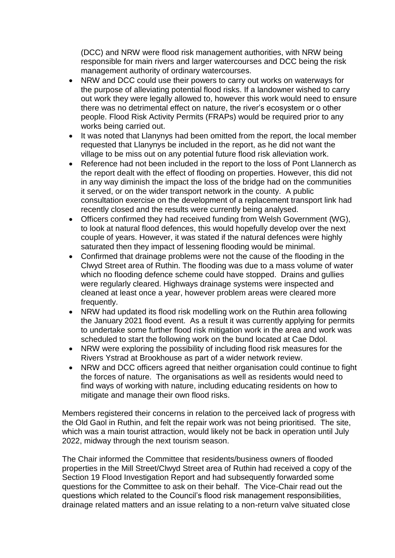(DCC) and NRW were flood risk management authorities, with NRW being responsible for main rivers and larger watercourses and DCC being the risk management authority of ordinary watercourses.

- NRW and DCC could use their powers to carry out works on waterways for the purpose of alleviating potential flood risks. If a landowner wished to carry out work they were legally allowed to, however this work would need to ensure there was no detrimental effect on nature, the river's ecosystem or o other people. Flood Risk Activity Permits (FRAPs) would be required prior to any works being carried out.
- It was noted that Llanynys had been omitted from the report, the local member requested that Llanynys be included in the report, as he did not want the village to be miss out on any potential future flood risk alleviation work.
- Reference had not been included in the report to the loss of Pont Llannerch as the report dealt with the effect of flooding on properties. However, this did not in any way diminish the impact the loss of the bridge had on the communities it served, or on the wider transport network in the county. A public consultation exercise on the development of a replacement transport link had recently closed and the results were currently being analysed.
- Officers confirmed they had received funding from Welsh Government (WG), to look at natural flood defences, this would hopefully develop over the next couple of years. However, it was stated if the natural defences were highly saturated then they impact of lessening flooding would be minimal.
- Confirmed that drainage problems were not the cause of the flooding in the Clwyd Street area of Ruthin. The flooding was due to a mass volume of water which no flooding defence scheme could have stopped. Drains and gullies were regularly cleared. Highways drainage systems were inspected and cleaned at least once a year, however problem areas were cleared more frequently.
- NRW had updated its flood risk modelling work on the Ruthin area following the January 2021 flood event. As a result it was currently applying for permits to undertake some further flood risk mitigation work in the area and work was scheduled to start the following work on the bund located at Cae Ddol.
- NRW were exploring the possibility of including flood risk measures for the Rivers Ystrad at Brookhouse as part of a wider network review.
- NRW and DCC officers agreed that neither organisation could continue to fight the forces of nature. The organisations as well as residents would need to find ways of working with nature, including educating residents on how to mitigate and manage their own flood risks.

Members registered their concerns in relation to the perceived lack of progress with the Old Gaol in Ruthin, and felt the repair work was not being prioritised. The site, which was a main tourist attraction, would likely not be back in operation until July 2022, midway through the next tourism season.

The Chair informed the Committee that residents/business owners of flooded properties in the Mill Street/Clwyd Street area of Ruthin had received a copy of the Section 19 Flood Investigation Report and had subsequently forwarded some questions for the Committee to ask on their behalf. The Vice-Chair read out the questions which related to the Council's flood risk management responsibilities, drainage related matters and an issue relating to a non-return valve situated close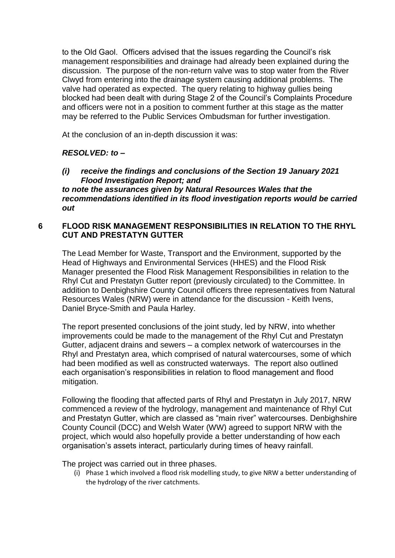to the Old Gaol. Officers advised that the issues regarding the Council's risk management responsibilities and drainage had already been explained during the discussion. The purpose of the non-return valve was to stop water from the River Clwyd from entering into the drainage system causing additional problems. The valve had operated as expected. The query relating to highway gullies being blocked had been dealt with during Stage 2 of the Council's Complaints Procedure and officers were not in a position to comment further at this stage as the matter may be referred to the Public Services Ombudsman for further investigation.

At the conclusion of an in-depth discussion it was:

# *RESOLVED: to –*

*(i) receive the findings and conclusions of the Section 19 January 2021 Flood Investigation Report; and to note the assurances given by Natural Resources Wales that the recommendations identified in its flood investigation reports would be carried out*

## **6 FLOOD RISK MANAGEMENT RESPONSIBILITIES IN RELATION TO THE RHYL CUT AND PRESTATYN GUTTER**

The Lead Member for Waste, Transport and the Environment, supported by the Head of Highways and Environmental Services (HHES) and the Flood Risk Manager presented the Flood Risk Management Responsibilities in relation to the Rhyl Cut and Prestatyn Gutter report (previously circulated) to the Committee. In addition to Denbighshire County Council officers three representatives from Natural Resources Wales (NRW) were in attendance for the discussion - Keith Ivens, Daniel Bryce-Smith and Paula Harley.

The report presented conclusions of the joint study, led by NRW, into whether improvements could be made to the management of the Rhyl Cut and Prestatyn Gutter, adjacent drains and sewers – a complex network of watercourses in the Rhyl and Prestatyn area, which comprised of natural watercourses, some of which had been modified as well as constructed waterways. The report also outlined each organisation's responsibilities in relation to flood management and flood mitigation.

Following the flooding that affected parts of Rhyl and Prestatyn in July 2017, NRW commenced a review of the hydrology, management and maintenance of Rhyl Cut and Prestatyn Gutter, which are classed as "main river" watercourses. Denbighshire County Council (DCC) and Welsh Water (WW) agreed to support NRW with the project, which would also hopefully provide a better understanding of how each organisation's assets interact, particularly during times of heavy rainfall.

The project was carried out in three phases.

(i) Phase 1 which involved a flood risk modelling study, to give NRW a better understanding of the hydrology of the river catchments.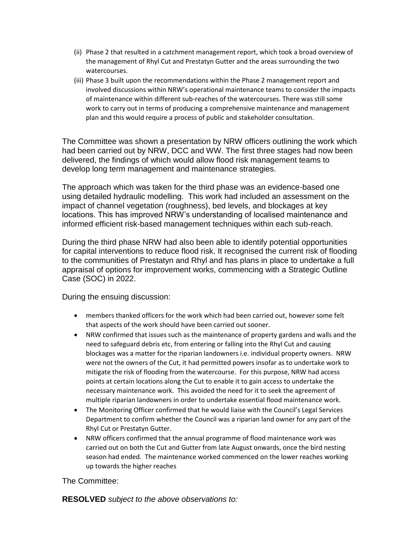- (ii) Phase 2 that resulted in a catchment management report, which took a broad overview of the management of Rhyl Cut and Prestatyn Gutter and the areas surrounding the two watercourses.
- (iii) Phase 3 built upon the recommendations within the Phase 2 management report and involved discussions within NRW's operational maintenance teams to consider the impacts of maintenance within different sub-reaches of the watercourses. There was still some work to carry out in terms of producing a comprehensive maintenance and management plan and this would require a process of public and stakeholder consultation.

The Committee was shown a presentation by NRW officers outlining the work which had been carried out by NRW, DCC and WW. The first three stages had now been delivered, the findings of which would allow flood risk management teams to develop long term management and maintenance strategies.

The approach which was taken for the third phase was an evidence-based one using detailed hydraulic modelling. This work had included an assessment on the impact of channel vegetation (roughness), bed levels, and blockages at key locations. This has improved NRW's understanding of localised maintenance and informed efficient risk-based management techniques within each sub-reach.

During the third phase NRW had also been able to identify potential opportunities for capital interventions to reduce flood risk. It recognised the current risk of flooding to the communities of Prestatyn and Rhyl and has plans in place to undertake a full appraisal of options for improvement works, commencing with a Strategic Outline Case (SOC) in 2022.

During the ensuing discussion:

- members thanked officers for the work which had been carried out, however some felt that aspects of the work should have been carried out sooner.
- NRW confirmed that issues such as the maintenance of property gardens and walls and the need to safeguard debris etc, from entering or falling into the Rhyl Cut and causing blockages was a matter for the riparian landowners i.e. individual property owners. NRW were not the owners of the Cut, it had permitted powers insofar as to undertake work to mitigate the risk of flooding from the watercourse. For this purpose, NRW had access points at certain locations along the Cut to enable it to gain access to undertake the necessary maintenance work. This avoided the need for it to seek the agreement of multiple riparian landowners in order to undertake essential flood maintenance work.
- The Monitoring Officer confirmed that he would liaise with the Council's Legal Services Department to confirm whether the Council was a riparian land owner for any part of the Rhyl Cut or Prestatyn Gutter.
- NRW officers confirmed that the annual programme of flood maintenance work was carried out on both the Cut and Gutter from late August onwards, once the bird nesting season had ended. The maintenance worked commenced on the lower reaches working up towards the higher reaches

The Committee:

**RESOLVED** *subject to the above observations to:*